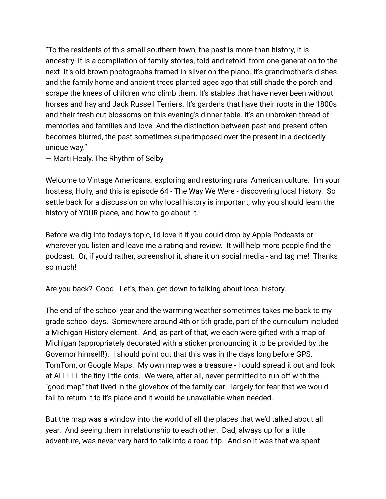"To the residents of this small southern town, the past is more than history, it is ancestry. It is a compilation of family stories, told and retold, from one generation to the next. It's old brown photographs framed in silver on the piano. It's grandmother's dishes and the family home and ancient trees planted ages ago that still shade the porch and scrape the knees of children who climb them. It's stables that have never been without horses and hay and Jack Russell Terriers. It's gardens that have their roots in the 1800s and their fresh-cut blossoms on this evening's dinner table. It's an unbroken thread of memories and families and love. And the distinction between past and present often becomes blurred, the past sometimes superimposed over the present in a decidedly unique way."

― Marti Healy, The Rhythm of Selby

Welcome to Vintage Americana: exploring and restoring rural American culture. I'm your hostess, Holly, and this is episode 64 - The Way We Were - discovering local history. So settle back for a discussion on why local history is important, why you should learn the history of YOUR place, and how to go about it.

Before we dig into today's topic, I'd love it if you could drop by Apple Podcasts or wherever you listen and leave me a rating and review. It will help more people find the podcast. Or, if you'd rather, screenshot it, share it on social media - and tag me! Thanks so much!

Are you back? Good. Let's, then, get down to talking about local history.

The end of the school year and the warming weather sometimes takes me back to my grade school days. Somewhere around 4th or 5th grade, part of the curriculum included a Michigan History element. And, as part of that, we each were gifted with a map of Michigan (appropriately decorated with a sticker pronouncing it to be provided by the Governor himself!). I should point out that this was in the days long before GPS, TomTom, or Google Maps. My own map was a treasure - I could spread it out and look at ALLLLL the tiny little dots. We were, after all, never permitted to run off with the "good map" that lived in the glovebox of the family car - largely for fear that we would fall to return it to it's place and it would be unavailable when needed.

But the map was a window into the world of all the places that we'd talked about all year. And seeing them in relationship to each other. Dad, always up for a little adventure, was never very hard to talk into a road trip. And so it was that we spent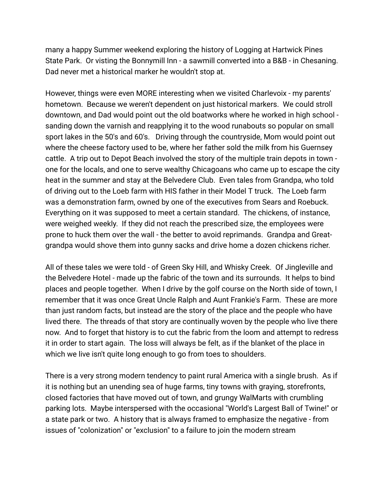many a happy Summer weekend exploring the history of Logging at Hartwick Pines State Park. Or visting the Bonnymill Inn - a sawmill converted into a B&B - in Chesaning. Dad never met a historical marker he wouldn't stop at.

However, things were even MORE interesting when we visited Charlevoix - my parents' hometown. Because we weren't dependent on just historical markers. We could stroll downtown, and Dad would point out the old boatworks where he worked in high school sanding down the varnish and reapplying it to the wood runabouts so popular on small sport lakes in the 50's and 60's. Driving through the countryside, Mom would point out where the cheese factory used to be, where her father sold the milk from his Guernsey cattle. A trip out to Depot Beach involved the story of the multiple train depots in town one for the locals, and one to serve wealthy Chicagoans who came up to escape the city heat in the summer and stay at the Belvedere Club. Even tales from Grandpa, who told of driving out to the Loeb farm with HIS father in their Model T truck. The Loeb farm was a demonstration farm, owned by one of the executives from Sears and Roebuck. Everything on it was supposed to meet a certain standard. The chickens, of instance, were weighed weekly. If they did not reach the prescribed size, the employees were prone to huck them over the wall - the better to avoid reprimands. Grandpa and Greatgrandpa would shove them into gunny sacks and drive home a dozen chickens richer.

All of these tales we were told - of Green Sky Hill, and Whisky Creek. Of Jingleville and the Belvedere Hotel - made up the fabric of the town and its surrounds. It helps to bind places and people together. When I drive by the golf course on the North side of town, I remember that it was once Great Uncle Ralph and Aunt Frankie's Farm. These are more than just random facts, but instead are the story of the place and the people who have lived there. The threads of that story are continually woven by the people who live there now. And to forget that history is to cut the fabric from the loom and attempt to redress it in order to start again. The loss will always be felt, as if the blanket of the place in which we live isn't quite long enough to go from toes to shoulders.

There is a very strong modern tendency to paint rural America with a single brush. As if it is nothing but an unending sea of huge farms, tiny towns with graying, storefronts, closed factories that have moved out of town, and grungy WalMarts with crumbling parking lots. Maybe interspersed with the occasional "World's Largest Ball of Twine!" or a state park or two. A history that is always framed to emphasize the negative - from issues of "colonization" or "exclusion" to a failure to join the modern stream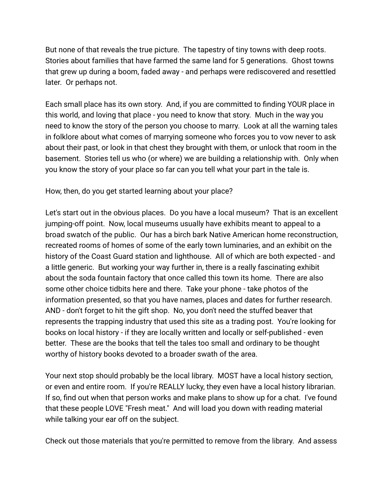But none of that reveals the true picture. The tapestry of tiny towns with deep roots. Stories about families that have farmed the same land for 5 generations. Ghost towns that grew up during a boom, faded away - and perhaps were rediscovered and resettled later. Or perhaps not.

Each small place has its own story. And, if you are committed to finding YOUR place in this world, and loving that place - you need to know that story. Much in the way you need to know the story of the person you choose to marry. Look at all the warning tales in folklore about what comes of marrying someone who forces you to vow never to ask about their past, or look in that chest they brought with them, or unlock that room in the basement. Stories tell us who (or where) we are building a relationship with. Only when you know the story of your place so far can you tell what your part in the tale is.

How, then, do you get started learning about your place?

Let's start out in the obvious places. Do you have a local museum? That is an excellent jumping-off point. Now, local museums usually have exhibits meant to appeal to a broad swatch of the public. Our has a birch bark Native American home reconstruction, recreated rooms of homes of some of the early town luminaries, and an exhibit on the history of the Coast Guard station and lighthouse. All of which are both expected - and a little generic. But working your way further in, there is a really fascinating exhibit about the soda fountain factory that once called this town its home. There are also some other choice tidbits here and there. Take your phone - take photos of the information presented, so that you have names, places and dates for further research. AND - don't forget to hit the gift shop. No, you don't need the stuffed beaver that represents the trapping industry that used this site as a trading post. You're looking for books on local history - if they are locally written and locally or self-published - even better. These are the books that tell the tales too small and ordinary to be thought worthy of history books devoted to a broader swath of the area.

Your next stop should probably be the local library. MOST have a local history section, or even and entire room. If you're REALLY lucky, they even have a local history librarian. If so, find out when that person works and make plans to show up for a chat. I've found that these people LOVE "Fresh meat." And will load you down with reading material while talking your ear off on the subject.

Check out those materials that you're permitted to remove from the library. And assess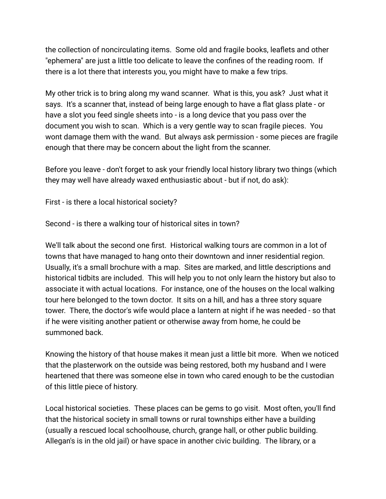the collection of noncirculating items. Some old and fragile books, leaflets and other "ephemera" are just a little too delicate to leave the confines of the reading room. If there is a lot there that interests you, you might have to make a few trips.

My other trick is to bring along my wand scanner. What is this, you ask? Just what it says. It's a scanner that, instead of being large enough to have a flat glass plate - or have a slot you feed single sheets into - is a long device that you pass over the document you wish to scan. Which is a very gentle way to scan fragile pieces. You wont damage them with the wand. But always ask permission - some pieces are fragile enough that there may be concern about the light from the scanner.

Before you leave - don't forget to ask your friendly local history library two things (which they may well have already waxed enthusiastic about - but if not, do ask):

First - is there a local historical society?

Second - is there a walking tour of historical sites in town?

We'll talk about the second one first. Historical walking tours are common in a lot of towns that have managed to hang onto their downtown and inner residential region. Usually, it's a small brochure with a map. Sites are marked, and little descriptions and historical tidbits are included. This will help you to not only learn the history but also to associate it with actual locations. For instance, one of the houses on the local walking tour here belonged to the town doctor. It sits on a hill, and has a three story square tower. There, the doctor's wife would place a lantern at night if he was needed - so that if he were visiting another patient or otherwise away from home, he could be summoned back.

Knowing the history of that house makes it mean just a little bit more. When we noticed that the plasterwork on the outside was being restored, both my husband and I were heartened that there was someone else in town who cared enough to be the custodian of this little piece of history.

Local historical societies. These places can be gems to go visit. Most often, you'll find that the historical society in small towns or rural townships either have a building (usually a rescued local schoolhouse, church, grange hall, or other public building. Allegan's is in the old jail) or have space in another civic building. The library, or a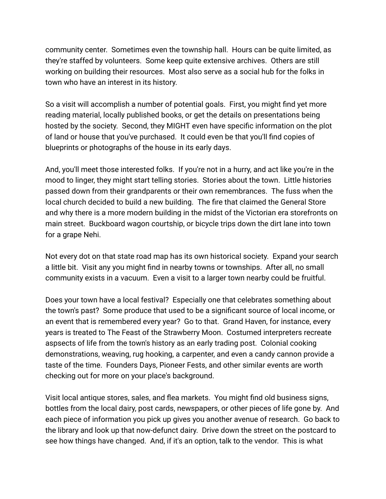community center. Sometimes even the township hall. Hours can be quite limited, as they're staffed by volunteers. Some keep quite extensive archives. Others are still working on building their resources. Most also serve as a social hub for the folks in town who have an interest in its history.

So a visit will accomplish a number of potential goals. First, you might find yet more reading material, locally published books, or get the details on presentations being hosted by the society. Second, they MIGHT even have specific information on the plot of land or house that you've purchased. It could even be that you'll find copies of blueprints or photographs of the house in its early days.

And, you'll meet those interested folks. If you're not in a hurry, and act like you're in the mood to linger, they might start telling stories. Stories about the town. Little histories passed down from their grandparents or their own remembrances. The fuss when the local church decided to build a new building. The fire that claimed the General Store and why there is a more modern building in the midst of the Victorian era storefronts on main street. Buckboard wagon courtship, or bicycle trips down the dirt lane into town for a grape Nehi.

Not every dot on that state road map has its own historical society. Expand your search a little bit. Visit any you might find in nearby towns or townships. After all, no small community exists in a vacuum. Even a visit to a larger town nearby could be fruitful.

Does your town have a local festival? Especially one that celebrates something about the town's past? Some produce that used to be a significant source of local income, or an event that is remembered every year? Go to that. Grand Haven, for instance, every years is treated to The Feast of the Strawberry Moon. Costumed interpreters recreate aspsects of life from the town's history as an early trading post. Colonial cooking demonstrations, weaving, rug hooking, a carpenter, and even a candy cannon provide a taste of the time. Founders Days, Pioneer Fests, and other similar events are worth checking out for more on your place's background.

Visit local antique stores, sales, and flea markets. You might find old business signs, bottles from the local dairy, post cards, newspapers, or other pieces of life gone by. And each piece of information you pick up gives you another avenue of research. Go back to the library and look up that now-defunct dairy. Drive down the street on the postcard to see how things have changed. And, if it's an option, talk to the vendor. This is what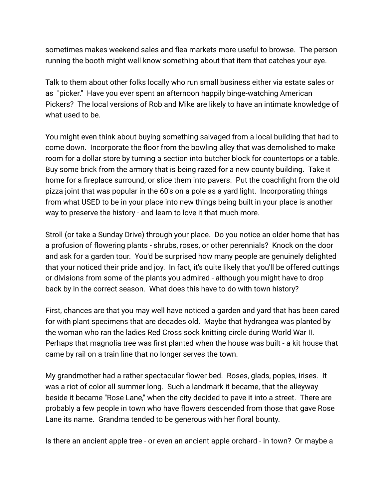sometimes makes weekend sales and flea markets more useful to browse. The person running the booth might well know something about that item that catches your eye.

Talk to them about other folks locally who run small business either via estate sales or as "picker." Have you ever spent an afternoon happily binge-watching American Pickers? The local versions of Rob and Mike are likely to have an intimate knowledge of what used to be.

You might even think about buying something salvaged from a local building that had to come down. Incorporate the floor from the bowling alley that was demolished to make room for a dollar store by turning a section into butcher block for countertops or a table. Buy some brick from the armory that is being razed for a new county building. Take it home for a fireplace surround, or slice them into pavers. Put the coachlight from the old pizza joint that was popular in the 60's on a pole as a yard light. Incorporating things from what USED to be in your place into new things being built in your place is another way to preserve the history - and learn to love it that much more.

Stroll (or take a Sunday Drive) through your place. Do you notice an older home that has a profusion of flowering plants - shrubs, roses, or other perennials? Knock on the door and ask for a garden tour. You'd be surprised how many people are genuinely delighted that your noticed their pride and joy. In fact, it's quite likely that you'll be offered cuttings or divisions from some of the plants you admired - although you might have to drop back by in the correct season. What does this have to do with town history?

First, chances are that you may well have noticed a garden and yard that has been cared for with plant specimens that are decades old. Maybe that hydrangea was planted by the woman who ran the ladies Red Cross sock knitting circle during World War II. Perhaps that magnolia tree was first planted when the house was built - a kit house that came by rail on a train line that no longer serves the town.

My grandmother had a rather spectacular flower bed. Roses, glads, popies, irises. It was a riot of color all summer long. Such a landmark it became, that the alleyway beside it became "Rose Lane," when the city decided to pave it into a street. There are probably a few people in town who have flowers descended from those that gave Rose Lane its name. Grandma tended to be generous with her floral bounty.

Is there an ancient apple tree - or even an ancient apple orchard - in town? Or maybe a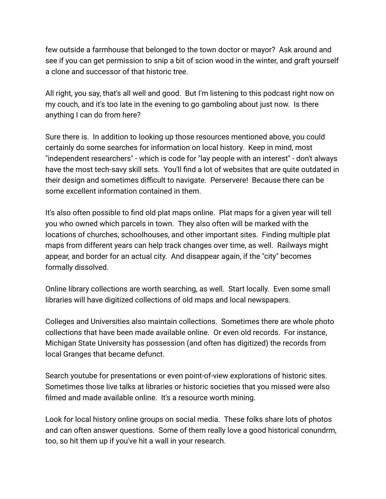few outside a farmhouse that belonged to the town doctor or mayor? Ask around and see if you can get permission to snip a bit of scion wood in the winter, and graft yourself a clone and successor of that historic tree.

All right, you say, that's all well and good. But I'm listening to this podcast right now on my couch, and it's too late in the evening to go gamboling about just now. Is there anything I can do from here?

Sure there is. In addition to looking up those resources mentioned above, you could certainly do some searches for information on local history. Keep in mind, most "independent researchers" - which is code for "lay people with an interest" - don't always have the most tech-savy skill sets. You'll find a lot of websites that are quite outdated in their design and sometimes difficult to navigate. Perservere! Because there can be some excellent information contained in them.

It's also often possible to find old plat maps online. Plat maps for a given year will tell you who owned which parcels in town. They also often will be marked with the locations of churches, schoolhouses, and other important sites. Finding multiple plat maps from different years can help track changes over time, as well. Railways might appear, and border for an actual city. And disappear again, if the "city" becomes formally dissolved.

Online library collections are worth searching, as well. Start locally. Even some small libraries will have digitized collections of old maps and local newspapers.

Colleges and Universities also maintain collections. Sometimes there are whole photo collections that have been made available online. Or even old records. For instance, Michigan State University has possession (and often has digitized) the records from local Granges that became defunct.

Search youtube for presentations or even point-of-view explorations of historic sites. Sometimes those live talks at libraries or historic societies that you missed were also filmed and made available online. It's a resource worth mining.

Look for local history online groups on social media. These folks share lots of photos and can often answer questions. Some of them really love a good historical conundrm, too, so hit them up if you've hit a wall in your research.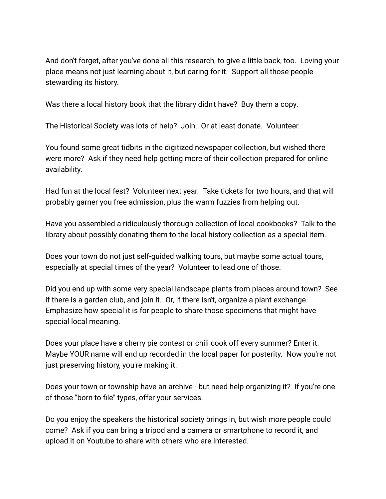And don't forget, after you've done all this research, to give a little back, too. Loving your place means not just learning about it, but caring for it. Support all those people stewarding its history.

Was there a local history book that the library didn't have? Buy them a copy.

The Historical Society was lots of help? Join. Or at least donate. Volunteer.

You found some great tidbits in the digitized newspaper collection, but wished there were more? Ask if they need help getting more of their collection prepared for online availability.

Had fun at the local fest? Volunteer next year. Take tickets for two hours, and that will probably garner you free admission, plus the warm fuzzies from helping out.

Have you assembled a ridiculously thorough collection of local cookbooks? Talk to the library about possibly donating them to the local history collection as a special item.

Does your town do not just self-guided walking tours, but maybe some actual tours, especially at special times of the year? Volunteer to lead one of those.

Did you end up with some very special landscape plants from places around town? See if there is a garden club, and join it. Or, if there isn't, organize a plant exchange. Emphasize how special it is for people to share those specimens that might have special local meaning.

Does your place have a cherry pie contest or chili cook off every summer? Enter it. Maybe YOUR name will end up recorded in the local paper for posterity. Now you're not just preserving history, you're making it.

Does your town or township have an archive - but need help organizing it? If you're one of those "born to file" types, offer your services.

Do you enjoy the speakers the historical society brings in, but wish more people could come? Ask if you can bring a tripod and a camera or smartphone to record it, and upload it on Youtube to share with others who are interested.